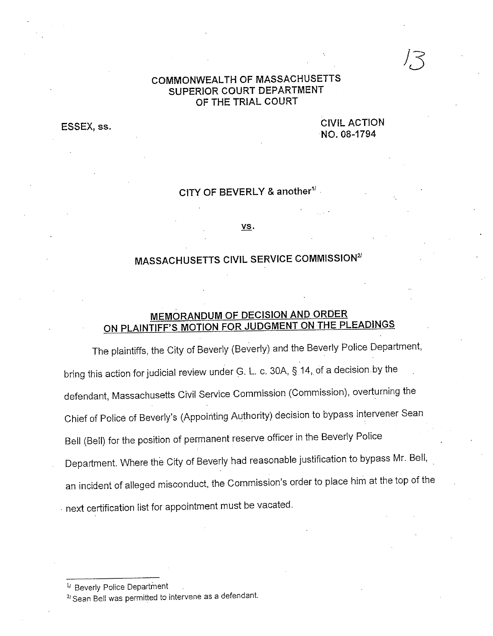### **COMMONWEAL TH OF MASSACHUSETTS SUPERIOR COURT DEPARTMENT OF THE TRIAL COURT**

**CIVIL ACTION NO. 08-1794** 

## **CITY OF BEVERLY & another<sup>11</sup>**.

VS.

# **MASSACHUSETTS CIVIL SERVICE COMMISSION<sup>21</sup>**

## **MEMORANDUM OF DECISION AND ORDER ON PLAINTIFF'S MOTION FOR JUDGMENT ON THE PLEADINGS**

The plaintiffs, the City of Beverly (Beverly) and the Beverly Police Department, bring this action for judicial review under G. L. c. 30A, § 14, of a decision by the defendant, Massachusetts Civil Service Commission (Commission), overturning the Chief of Police of Beverly's (Appointing Authority) decision to bypass intervener Sean Bell (Bell) for the position of permanent reserve officer in the Beverly Police Department. Where the City of Beverly had reasonable justification to bypass Mr. Bell, an incident of alleged misconduct, the Commission's order to place him at the top of the • next certification list for appointment must be vacated.

<sup>1/</sup> Beverly Police Department

**ESSEX, ss.** 

<sup>2</sup>/ Sean Bell was permitted to intervene as a defendant.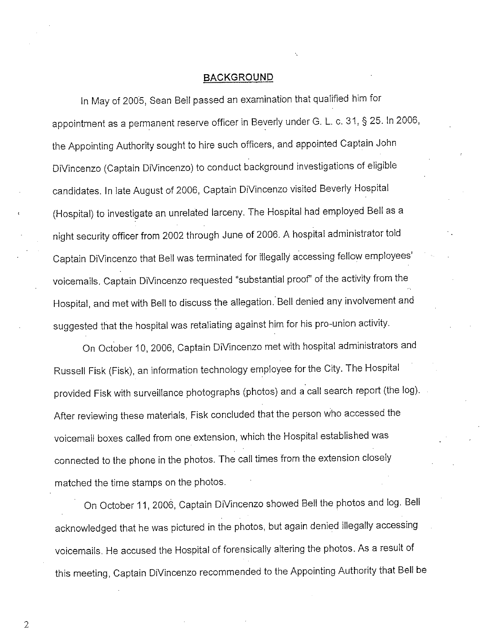#### **BACKGROUND**

In May of 2005, Sean Bell passed an examination that qualified him for appointment as a permanent reserve officer in Beverly under G. L. c. 31, § 25. In 2006, the Appointing Authority sought to hire such officers, and appointed Captain John DiVincenzo (Captain DiVincenzo) to conduct background investigations of eligible candidates. In late August of 2006, Captain DiVincenzo visited Beverly Hospital (Hospital) to investigate an unrelated larceny. The Hospital had employed Bell as <sup>a</sup> night security officer from 2002 through June of 2006. A hospital administrator told Captain DiVincenzo that Bell was terminated for illegally accessing fellow employees' voicemails. Captain DiVincenzo requested "substantial proof' of the activity from the Hospital, and met with Bell to discuss the allegation. Bell denied any involvement and suggested that the hospital was retaliating against him for his pro-union activity.

On October 10, 2006, Captain DiVincenzo met with hospital administrators and Russell Fisk (Fisk), an information technology employee for the City. The Hospital provided Fisk with surveillance photographs (photos) and a call search report (the log). After reviewing these materials, Fisk concluded that the person who accessed the voicemail boxes called from one extension, which the Hospital established was connected to the phone in the photos. The call times from the extension closely matched the time stamps on the photos.

On October 11, 2006, Captain DiVincenzo showed Bell the photos and log. Bell acknowledged that he was pictured in the photos, but again denied illegally accessing voicemails. He accused the Hospital of forensically altering the photos. As a result of this meeting, Captain DiVincenzo recommended to the Appointing Authority that Bell be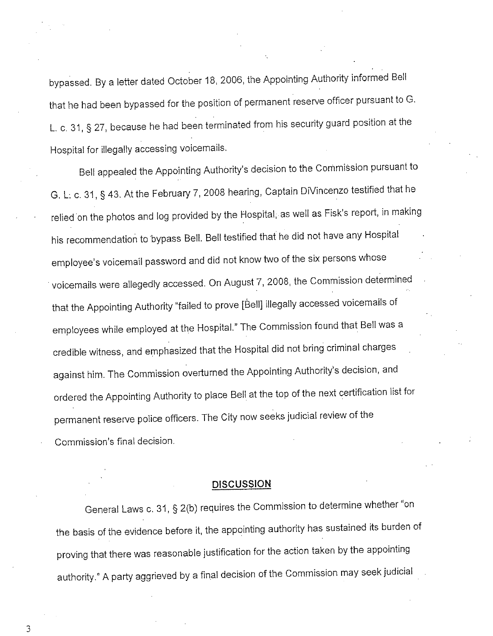bypassed. By a letter dated October 18, 2006, the Appointing Authority informed Bell that he had been bypassed for the position of permanent reserve officer pursuant to G. L. c. 31, § 27, because he had been terminated from his security guard position at the Hospital for illegally accessing voicemails.

Bell appealed the Appointing Authority's decision to the Commission pursuant to G. L: c. 31, § 43. At the February 7, 2008 hearing, Captain DiVincenzo testified that he relied on the photos and log provided by the Hospital, as well as Fisk's report, in making his recommendation to bypass Bell. Bell testified that he did not have any Hospital employee's voicemail password and did not know two of the six persons whose voicemails were allegedly accessed. On August 7, 2008, the Commission determined that the Appointing Authority "failed to prove [Bell] illegally accessed voicemails of employees while employed at the Hospital." The Commission found that Bell was a credible witness, and emphasized that the Hospital did not bring criminal charges against him. The Commission overturned the Appointing Authority's decision, and ordered the Appointing Authority to place Bell at the top of the next certification list for permanent reserve police officers. The City now seeks judicial review of the Commission's final decision.

#### **DISCUSSION**

General Laws c. 31, § 2(b) requires the Commission to determine whether "on the basis of the evidence before it, the appointing authority has sustained its burden of proving that there was reasonable justification for the action taken by the appointing authority." A party aggrieved by a final decision of the Commission may seek judicial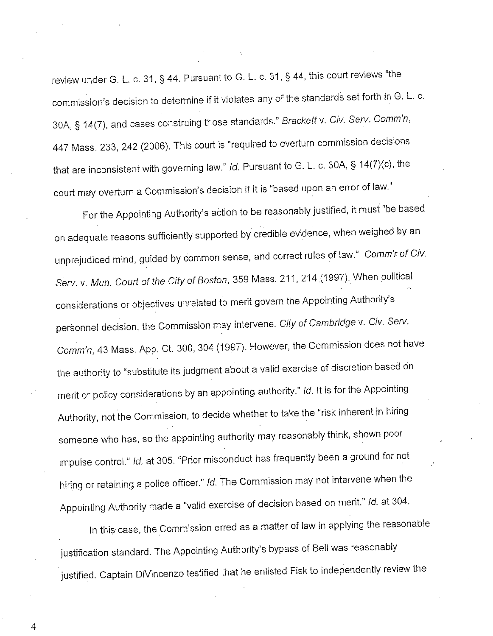review under G. L. c. 31, § 44. Pursuant to G. L. c. 31, § 44, this court reviews "the commission's decision to determine if it violates any of the standards set forth in G. L. c. 30A, § 14(7), and cases construing those standards." Brackett v. Civ. Serv. Comm'n, 447 Mass. 233, 242 (2006). This court is "required to overturn commission decisions that are inconsistent with governing law." Id. Pursuant to G. L. c. 30A, § 14(7)(c), the court may overturn a Commission's decision if it is "based upon an error of law."

For the Appointing Authority's action to be reasonably justified, it must "be based on adequate reasons sufficiently supported by credible evidence, when weighed by an unprejudiced mind, guided by common sense, and correct rules of law." Comm'r of Civ. Serv. v. Mun. Court of the City of Boston, 359 Mass. 211, 214 (1997). When political considerations or objectives unrelated to merit govern the Appointing Authority's personnel decision, the Commission may intervene. City of Cambridge v. Civ. Serv. Comm'n, 43 Mass. App. Ct. 300, 304 (1997). However, the Commission does not have the authority to "substitute its judgment about. a valid exercise of discretion based on merit or policy considerations by an appointing authority." Id. It is for the Appointing Authority, not the Commission, to decide whether to take the "risk inherent in hiring someone who has, so the appointing authority may reasonably think, shown poor impulse control." Id. at 305. "Prior misconduct has frequently been a ground for not hiring or retaining a police officer." Id. The Commission may not intervene when the Appointing Authority made a "valid exercise of decision based on merit." Id. at 304.

In this case, the Commission erred as a matter of law in applying the reasonable justification standard. The Appointing Authority's bypass of Bell was reasonably justified. Captain DiVincenzo testified that he enlisted Fisk to independently review the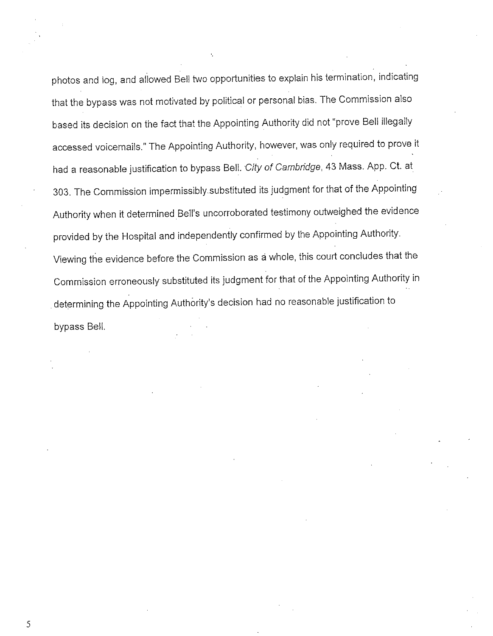photos and log, and allowed Bell two opportunities to explain his termination, indicating that the bypass was not motivated by political or personal bias. The Commission also based its decision on the fact that the Appointing Authority did not "prove Bell illegally accessed voicemails." The Appointing Authority, however, was only required to prove it had a reasonable justification to bypass Bell. City of Cambridge, 43 Mass. App. Ct. at 303. The Commission impermissibly.substituted its judgment for that of the Appointing Authority when it determined Bell's uncorroborated testimony outweighed the evidence provided by the Hospital and independently confirmed by the Appointing Authority. Viewing the evidence before the Commission as <sup>a</sup>whole, this court concludes that the Commission erroneously substituted its judgment for that of the Appointing Authority in . determining the Appointing Authority's decision had no reasonable justification to bypass Bell.